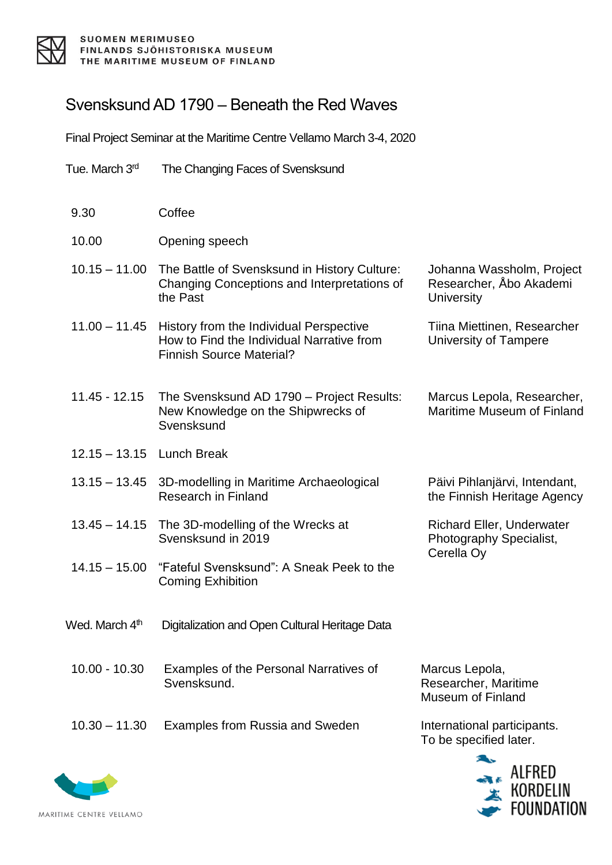

## Svensksund AD 1790 – Beneath the Red Waves

Final Project Seminar at the Maritime Centre Vellamo March 3-4, 2020

- Tue. March 3<sup>rd</sup> The Changing Faces of Svensksund
- 9.30 Coffee
- 10.00 Opening speech
- 10.15 11.00 The Battle of Svensksund in History Culture: Changing Conceptions and Interpretations of the Past
- 11.00 11.45 History from the Individual Perspective How to Find the Individual Narrative from Finnish Source Material?
- 11.45 12.15 The Svensksund AD 1790 Project Results: New Knowledge on the Shipwrecks of **Svensksund**
- 12.15 13.15 Lunch Break
- 13.15 13.45 3D-modelling in Maritime Archaeological Research in Finland
- 13.45 14.15 The 3D-modelling of the Wrecks at Svensksund in 2019
- 14.15 15.00 "Fateful Svensksund": A Sneak Peek to the Coming Exhibition
- Wed. March 4<sup>th</sup> Digitalization and Open Cultural Heritage Data
- 10.00 10.30 Examples of the Personal Narratives of Svensksund.
- 10.30 11.30 Examples from Russia and Sweden International participants.

Marcus Lepola, Researcher, Maritime Museum of Finland

To be specified later.





Marcus Lepola, Researcher, Maritime Museum of Finland

Johanna Wassholm, Project Researcher, Åbo Akademi

Tiina Miettinen, Researcher

University of Tampere

**University** 

Päivi Pihlanjärvi, Intendant, the Finnish Heritage Agency

Richard Eller, Underwater Photography Specialist, Cerella Oy